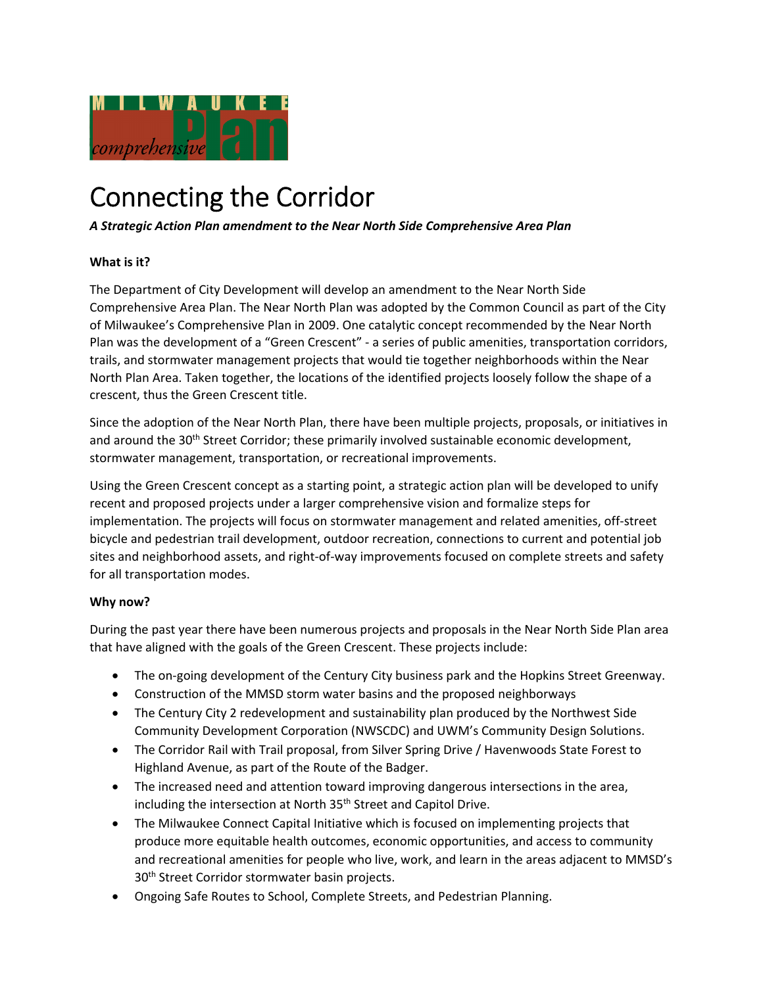

# Connecting the Corridor

# *A Strategic Action Plan amendment to the Near North Side Comprehensive Area Plan*

# **What is it?**

The Department of City Development will develop an amendment to the Near North Side Comprehensive Area Plan. The Near North Plan was adopted by the Common Council as part of the City of Milwaukee's Comprehensive Plan in 2009. One catalytic concept recommended by the Near North Plan was the development of a "Green Crescent" ‐ a series of public amenities, transportation corridors, trails, and stormwater management projects that would tie together neighborhoods within the Near North Plan Area. Taken together, the locations of the identified projects loosely follow the shape of a crescent, thus the Green Crescent title.

Since the adoption of the Near North Plan, there have been multiple projects, proposals, or initiatives in and around the 30<sup>th</sup> Street Corridor; these primarily involved sustainable economic development, stormwater management, transportation, or recreational improvements.

Using the Green Crescent concept as a starting point, a strategic action plan will be developed to unify recent and proposed projects under a larger comprehensive vision and formalize steps for implementation. The projects will focus on stormwater management and related amenities, off‐street bicycle and pedestrian trail development, outdoor recreation, connections to current and potential job sites and neighborhood assets, and right‐of‐way improvements focused on complete streets and safety for all transportation modes.

### **Why now?**

During the past year there have been numerous projects and proposals in the Near North Side Plan area that have aligned with the goals of the Green Crescent. These projects include:

- The on-going development of the Century City business park and the Hopkins Street Greenway.
- Construction of the MMSD storm water basins and the proposed neighborways
- The Century City 2 redevelopment and sustainability plan produced by the Northwest Side Community Development Corporation (NWSCDC) and UWM's Community Design Solutions.
- The Corridor Rail with Trail proposal, from Silver Spring Drive / Havenwoods State Forest to Highland Avenue, as part of the Route of the Badger.
- The increased need and attention toward improving dangerous intersections in the area, including the intersection at North 35<sup>th</sup> Street and Capitol Drive.
- The Milwaukee Connect Capital Initiative which is focused on implementing projects that produce more equitable health outcomes, economic opportunities, and access to community and recreational amenities for people who live, work, and learn in the areas adjacent to MMSD's 30<sup>th</sup> Street Corridor stormwater basin projects.
- Ongoing Safe Routes to School, Complete Streets, and Pedestrian Planning.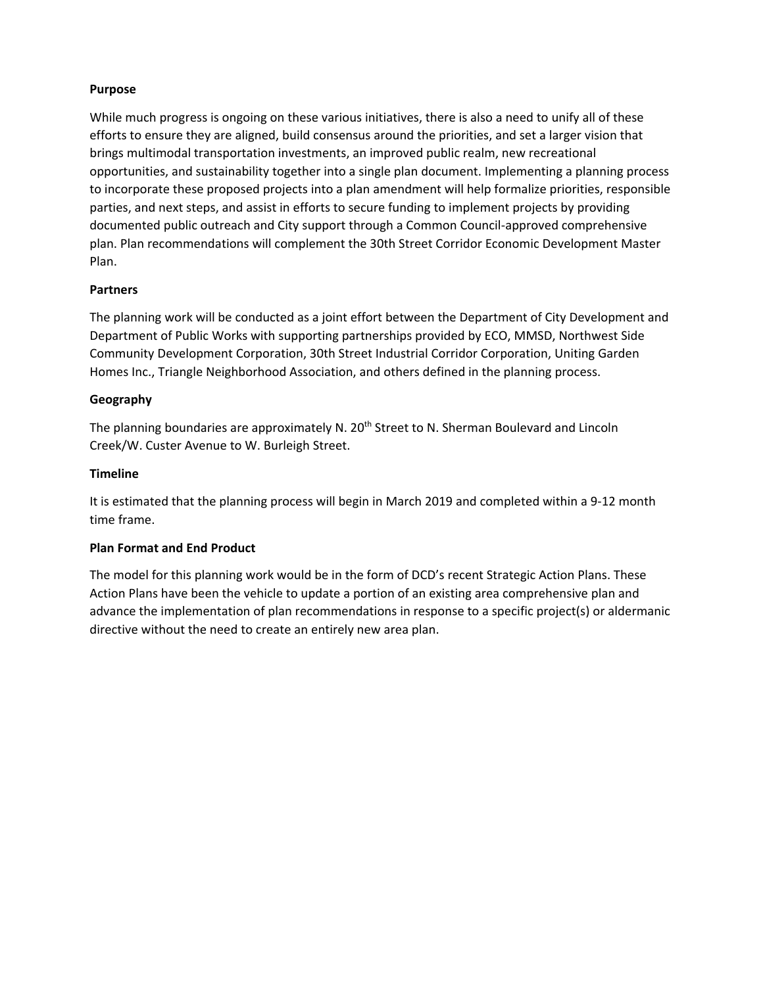## **Purpose**

While much progress is ongoing on these various initiatives, there is also a need to unify all of these efforts to ensure they are aligned, build consensus around the priorities, and set a larger vision that brings multimodal transportation investments, an improved public realm, new recreational opportunities, and sustainability together into a single plan document. Implementing a planning process to incorporate these proposed projects into a plan amendment will help formalize priorities, responsible parties, and next steps, and assist in efforts to secure funding to implement projects by providing documented public outreach and City support through a Common Council‐approved comprehensive plan. Plan recommendations will complement the 30th Street Corridor Economic Development Master Plan.

### **Partners**

The planning work will be conducted as a joint effort between the Department of City Development and Department of Public Works with supporting partnerships provided by ECO, MMSD, Northwest Side Community Development Corporation, 30th Street Industrial Corridor Corporation, Uniting Garden Homes Inc., Triangle Neighborhood Association, and others defined in the planning process.

# **Geography**

The planning boundaries are approximately N. 20<sup>th</sup> Street to N. Sherman Boulevard and Lincoln Creek/W. Custer Avenue to W. Burleigh Street.

### **Timeline**

It is estimated that the planning process will begin in March 2019 and completed within a 9‐12 month time frame.

### **Plan Format and End Product**

The model for this planning work would be in the form of DCD's recent Strategic Action Plans. These Action Plans have been the vehicle to update a portion of an existing area comprehensive plan and advance the implementation of plan recommendations in response to a specific project(s) or aldermanic directive without the need to create an entirely new area plan.